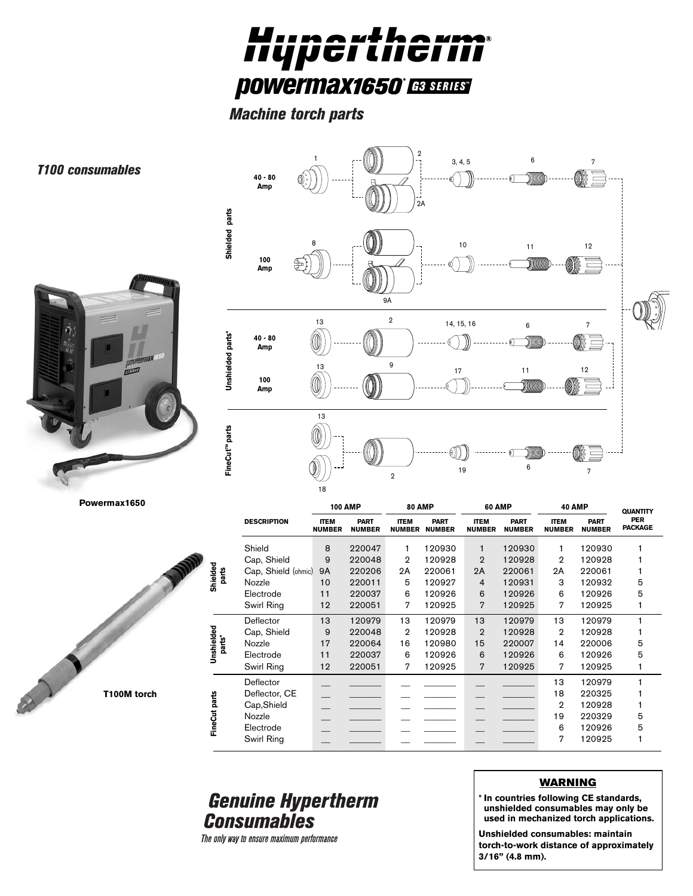

*Machine torch parts*



*T100 consumables*



**Powermax1650**



|                      |                     | 100 AMP                      |                              | <b>80 AMP</b>                |                              | 60 AMP                       |                              | 40 AMP                       |                              | <b>QUANTITY</b>              |
|----------------------|---------------------|------------------------------|------------------------------|------------------------------|------------------------------|------------------------------|------------------------------|------------------------------|------------------------------|------------------------------|
|                      | <b>DESCRIPTION</b>  | <b>ITEM</b><br><b>NUMBER</b> | <b>PART</b><br><b>NUMBER</b> | <b>ITEM</b><br><b>NUMBER</b> | <b>PART</b><br><b>NUMBER</b> | <b>ITEM</b><br><b>NUMBER</b> | <b>PART</b><br><b>NUMBER</b> | <b>ITEM</b><br><b>NUMBER</b> | <b>PART</b><br><b>NUMBER</b> | <b>PER</b><br><b>PACKAGE</b> |
| Shielded<br>parts    | Shield              | 8                            | 220047                       | 1                            | 120930                       | 1                            | 120930                       | 1                            | 120930                       |                              |
|                      | Cap, Shield         | 9                            | 220048                       | 2                            | 120928                       | $\mathbf{2}$                 | 120928                       | 2                            | 120928                       |                              |
|                      | Cap, Shield (ohmic) | <b>9A</b>                    | 220206                       | 2A                           | 220061                       | 2A                           | 220061                       | 2A                           | 220061                       |                              |
|                      | Nozzle              | 10                           | 220011                       | 5                            | 120927                       | $\overline{4}$               | 120931                       | 3                            | 120932                       | 5                            |
|                      | Electrode           | 11                           | 220037                       | 6                            | 120926                       | 6                            | 120926                       | 6                            | 120926                       | 5                            |
|                      | Swirl Ring          | 12                           | 220051                       | 7                            | 120925                       | $\overline{7}$               | 120925                       | 7                            | 120925                       |                              |
| Unshielded<br>parts* | Deflector           | 13                           | 120979                       | 13                           | 120979                       | 13                           | 120979                       | 13                           | 120979                       |                              |
|                      | Cap, Shield         | 9                            | 220048                       | 2                            | 120928                       | $\overline{2}$               | 120928                       | $\overline{2}$               | 120928                       |                              |
|                      | Nozzle              | 17                           | 220064                       | 16                           | 120980                       | 15                           | 220007                       | 14                           | 220006                       | 5                            |
|                      | Electrode           | 11                           | 220037                       | 6                            | 120926                       | 6                            | 120926                       | 6                            | 120926                       | 5                            |
|                      | Swirl Ring          | 12                           | 220051                       | 7                            | 120925                       | 7                            | 120925                       | 7                            | 120925                       |                              |
| e<br>FineCut pa      | Deflector           |                              |                              |                              |                              |                              |                              | 13                           | 120979                       |                              |
|                      | Deflector, CE       |                              |                              |                              |                              |                              |                              | 18                           | 220325                       |                              |
|                      | Cap, Shield         |                              |                              |                              |                              |                              |                              | $\overline{2}$               | 120928                       |                              |
|                      | Nozzle              |                              |                              |                              |                              |                              |                              | 19                           | 220329                       | 5                            |
|                      | Electrode           |                              |                              |                              |                              |                              |                              | 6                            | 120926                       | 5                            |
|                      | Swirl Ring          |                              |                              |                              |                              |                              |                              | 7                            | 120925                       |                              |
|                      |                     |                              |                              |                              |                              |                              |                              |                              |                              |                              |

## **Genuine Hypertherm Consumables**

The only way to ensure maximum performance

## **WARNING**

**\* In countries following CE standards, unshielded consumables may only be used in mechanized torch applications.**

**Unshielded consumables: maintain torch-to-work distance of approximately 3/16" (4.8 mm).**